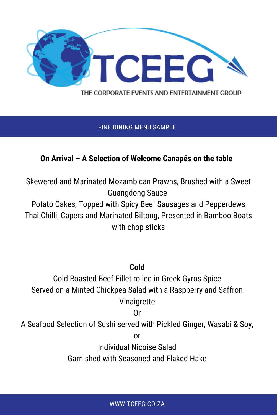

THE CORPORATE EVENTS AND ENTERTAINMENT GROUP

#### FINE DINING MENU SAMPLE

### **On Arrival – A Selection of Welcome Canapés on the table**

Skewered and Marinated Mozambican Prawns, Brushed with a Sweet Guangdong Sauce

Potato Cakes, Topped with Spicy Beef Sausages and Pepperdews Thai Chilli, Capers and Marinated Biltong, Presented in Bamboo Boats with chop sticks

### **Cold**

Cold Roasted Beef Fillet rolled in Greek Gyros Spice Served on a Minted Chickpea Salad with a Raspberry and Saffron Vinaigrette

Or

A Seafood Selection of Sushi served with Pickled Ginger, Wasabi & Soy,

or

Individual Nicoise Salad

Garnished with Seasoned and Flaked Hake

WWW.TCEEG.CO.ZA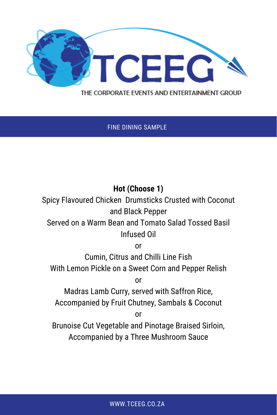

#### THE CORPORATE EVENTS AND ENTERTAINMENT GROUP

FINE DINING SAMPLE

# **Hot (Choose 1)**

Spicy Flavoured Chicken Drumsticks Crusted with Coconut and Black Pepper

## Served on a Warm Bean and Tomato Salad Tossed Basil Infused Oil

or

Cumin, Citrus and Chilli Line Fish With Lemon Pickle on a Sweet Corn and Pepper Relish

or

Madras Lamb Curry, served with Saffron Rice, Accompanied by Fruit Chutney, Sambals & Coconut

or

Brunoise Cut Vegetable and Pinotage Braised Sirloin, Accompanied by a Three Mushroom Sauce